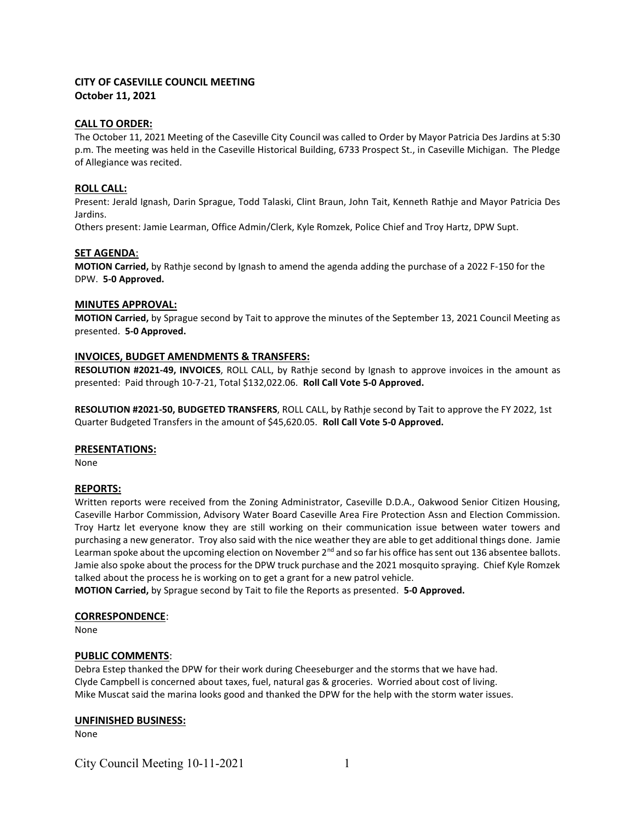# CITY OF CASEVILLE COUNCIL MEETING October 11, 2021

### CALL TO ORDER:

The October 11, 2021 Meeting of the Caseville City Council was called to Order by Mayor Patricia Des Jardins at 5:30 p.m. The meeting was held in the Caseville Historical Building, 6733 Prospect St., in Caseville Michigan. The Pledge of Allegiance was recited.

## ROLL CALL:

Present: Jerald Ignash, Darin Sprague, Todd Talaski, Clint Braun, John Tait, Kenneth Rathje and Mayor Patricia Des Jardins.

Others present: Jamie Learman, Office Admin/Clerk, Kyle Romzek, Police Chief and Troy Hartz, DPW Supt.

## SET AGENDA:

MOTION Carried, by Rathje second by Ignash to amend the agenda adding the purchase of a 2022 F-150 for the DPW. 5-0 Approved.

### MINUTES APPROVAL:

MOTION Carried, by Sprague second by Tait to approve the minutes of the September 13, 2021 Council Meeting as presented. 5-0 Approved.

### INVOICES, BUDGET AMENDMENTS & TRANSFERS:

RESOLUTION #2021-49, INVOICES, ROLL CALL, by Rathje second by Ignash to approve invoices in the amount as presented: Paid through 10-7-21, Total \$132,022.06. Roll Call Vote 5-0 Approved.

RESOLUTION #2021-50, BUDGETED TRANSFERS, ROLL CALL, by Rathje second by Tait to approve the FY 2022, 1st Quarter Budgeted Transfers in the amount of \$45,620.05. Roll Call Vote 5-0 Approved.

#### PRESENTATIONS:

None

## REPORTS:

Written reports were received from the Zoning Administrator, Caseville D.D.A., Oakwood Senior Citizen Housing, Caseville Harbor Commission, Advisory Water Board Caseville Area Fire Protection Assn and Election Commission. Troy Hartz let everyone know they are still working on their communication issue between water towers and purchasing a new generator. Troy also said with the nice weather they are able to get additional things done. Jamie Learman spoke about the upcoming election on November  $2^{nd}$  and so far his office has sent out 136 absentee ballots. Jamie also spoke about the process for the DPW truck purchase and the 2021 mosquito spraying. Chief Kyle Romzek talked about the process he is working on to get a grant for a new patrol vehicle.

MOTION Carried, by Sprague second by Tait to file the Reports as presented. 5-0 Approved.

#### CORRESPONDENCE:

None

## PUBLIC COMMENTS:

Debra Estep thanked the DPW for their work during Cheeseburger and the storms that we have had. Clyde Campbell is concerned about taxes, fuel, natural gas & groceries. Worried about cost of living. Mike Muscat said the marina looks good and thanked the DPW for the help with the storm water issues.

#### UNFINISHED BUSINESS:

None

City Council Meeting  $10-11-2021$  1